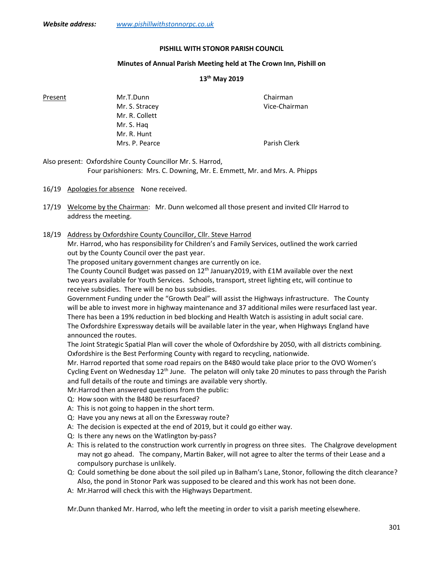### PISHILL WITH STONOR PARISH COUNCIL

# Minutes of Annual Parish Meeting held at The Crown Inn, Pishill on

# 13th May 2019

Present Mr.T.Dunn Chairman Mr. S. Stracey and the United Strategy of Vice-Chairman Mr. R. Collett Mr. S. Haq Mr. R. Hunt Mrs. P. Pearce **Parish Clerk** 

Also present: Oxfordshire County Councillor Mr. S. Harrod, Four parishioners: Mrs. C. Downing, Mr. E. Emmett, Mr. and Mrs. A. Phipps

16/19 Apologies for absence None received.

- 17/19 Welcome by the Chairman: Mr. Dunn welcomed all those present and invited Cllr Harrod to address the meeting.
- 18/19 Address by Oxfordshire County Councillor, Cllr. Steve Harrod

 Mr. Harrod, who has responsibility for Children's and Family Services, outlined the work carried out by the County Council over the past year.

The proposed unitary government changes are currently on ice.

The County Council Budget was passed on 12<sup>th</sup> January 2019, with £1M available over the next two years available for Youth Services. Schools, transport, street lighting etc, will continue to receive subsidies. There will be no bus subsidies.

 Government Funding under the "Growth Deal" will assist the Highways infrastructure. The County will be able to invest more in highway maintenance and 37 additional miles were resurfaced last year. There has been a 19% reduction in bed blocking and Health Watch is assisting in adult social care. The Oxfordshire Expressway details will be available later in the year, when Highways England have announced the routes.

 The Joint Strategic Spatial Plan will cover the whole of Oxfordshire by 2050, with all districts combining. Oxfordshire is the Best Performing County with regard to recycling, nationwide.

 Mr. Harrod reported that some road repairs on the B480 would take place prior to the OVO Women's Cycling Event on Wednesday  $12<sup>th</sup>$  June. The pelaton will only take 20 minutes to pass through the Parish and full details of the route and timings are available very shortly.

Mr.Harrod then answered questions from the public:

- Q: How soon with the B480 be resurfaced?
- A: This is not going to happen in the short term.
- Q: Have you any news at all on the Exressway route?
- A: The decision is expected at the end of 2019, but it could go either way.
- Q: Is there any news on the Watlington by-pass?
- A: This is related to the construction work currently in progress on three sites. The Chalgrove development may not go ahead. The company, Martin Baker, will not agree to alter the terms of their Lease and a compulsory purchase is unlikely.
- Q: Could something be done about the soil piled up in Balham's Lane, Stonor, following the ditch clearance? Also, the pond in Stonor Park was supposed to be cleared and this work has not been done.
- A: Mr.Harrod will check this with the Highways Department.

Mr.Dunn thanked Mr. Harrod, who left the meeting in order to visit a parish meeting elsewhere.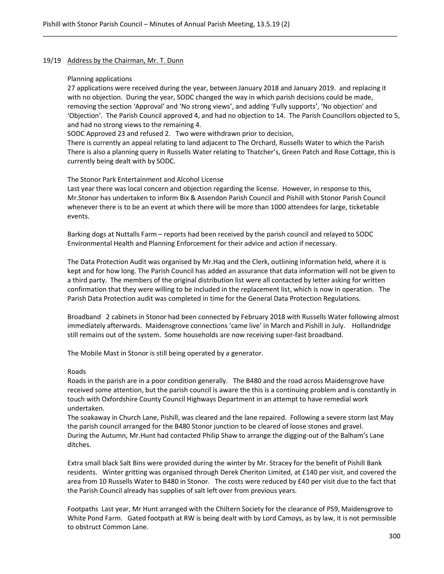#### 19/19 Address by the Chairman, Mr. T. Dunn

## Planning applications

 27 applications were received during the year, between January 2018 and January 2019. and replacing it with no objection. During the year, SODC changed the way in which parish decisions could be made, removing the section 'Approval' and 'No strong views', and adding 'Fully supports', 'No objection' and 'Objection'. The Parish Council approved 4, and had no objection to 14. The Parish Councillors objected to 5, and had no strong views to the remaining 4.

\_\_\_\_\_\_\_\_\_\_\_\_\_\_\_\_\_\_\_\_\_\_\_\_\_\_\_\_\_\_\_\_\_\_\_\_\_\_\_\_\_\_\_\_\_\_\_\_\_\_\_\_\_\_\_\_\_\_\_\_\_\_\_\_\_\_\_\_\_\_\_\_\_\_\_\_\_\_\_\_\_\_\_\_\_\_\_\_\_\_\_\_\_\_\_

SODC Approved 23 and refused 2. Two were withdrawn prior to decision,

 There is currently an appeal relating to land adjacent to The Orchard, Russells Water to which the Parish There is also a planning query in Russells Water relating to Thatcher's, Green Patch and Rose Cottage, this is currently being dealt with by SODC.

## The Stonor Park Entertainment and Alcohol License

 Last year there was local concern and objection regarding the license. However, in response to this, Mr.Stonor has undertaken to inform Bix & Assendon Parish Council and Pishill with Stonor Parish Council whenever there is to be an event at which there will be more than 1000 attendees for large, ticketable events.

Barking dogs at Nuttalls Farm – reports had been received by the parish council and relayed to SODC Environmental Health and Planning Enforcement for their advice and action if necessary.

 The Data Protection Audit was organised by Mr.Haq and the Clerk, outlining information held, where it is kept and for how long. The Parish Council has added an assurance that data information will not be given to a third party. The members of the original distribution list were all contacted by letter asking for written confirmation that they were willing to be included in the replacement list, which is now in operation. The Parish Data Protection audit was completed in time for the General Data Protection Regulations.

Broadband 2 cabinets in Stonor had been connected by February 2018 with Russells Water following almost immediately afterwards. Maidensgrove connections 'came live' in March and Pishill in July. Hollandridge still remains out of the system. Some households are now receiving super-fast broadband.

The Mobile Mast in Stonor is still being operated by a generator.

# Roads

 Roads in the parish are in a poor condition generally. The B480 and the road across Maidensgrove have received some attention, but the parish council is aware the this is a continuing problem and is constantly in touch with Oxfordshire County Council Highways Department in an attempt to have remedial work undertaken.

 The soakaway in Church Lane, Pishill, was cleared and the lane repaired. Following a severe storm last May the parish council arranged for the B480 Stonor junction to be cleared of loose stones and gravel. During the Autumn, Mr.Hunt had contacted Philip Shaw to arrange the digging-out of the Balham's Lane ditches.

 Extra small black Salt Bins were provided during the winter by Mr. Stracey for the benefit of Pishill Bank residents. Winter gritting was organised through Derek Cheriton Limited, at £140 per visit, and covered the area from 10 Russells Water to B480 in Stonor. The costs were reduced by £40 per visit due to the fact that the Parish Council already has supplies of salt left over from previous years.

Footpaths Last year, Mr Hunt arranged with the Chiltern Society for the clearance of PS9, Maidensgrove to White Pond Farm. Gated footpath at RW is being dealt with by Lord Camoys, as by law, it is not permissible to obstruct Common Lane.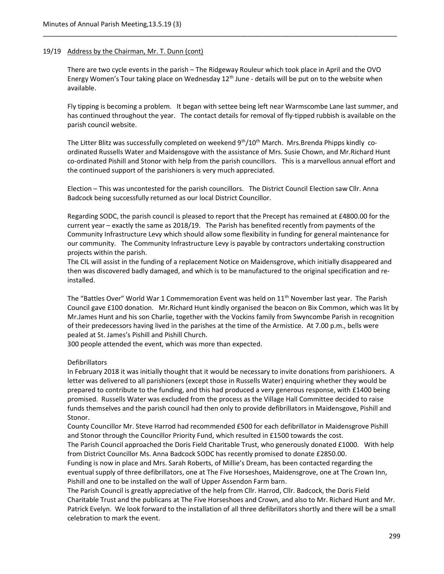# 19/19 Address by the Chairman, Mr. T. Dunn (cont)

 There are two cycle events in the parish – The Ridgeway Rouleur which took place in April and the OVO Energy Women's Tour taking place on Wednesday  $12<sup>th</sup>$  June - details will be put on to the website when available.

\_\_\_\_\_\_\_\_\_\_\_\_\_\_\_\_\_\_\_\_\_\_\_\_\_\_\_\_\_\_\_\_\_\_\_\_\_\_\_\_\_\_\_\_\_\_\_\_\_\_\_\_\_\_\_\_\_\_\_\_\_\_\_\_\_\_\_\_\_\_\_\_\_\_\_\_\_\_\_\_\_\_\_\_\_\_\_\_\_\_\_\_\_\_\_

Fly tipping is becoming a problem. It began with settee being left near Warmscombe Lane last summer, and has continued throughout the year. The contact details for removal of fly-tipped rubbish is available on the parish council website.

The Litter Blitz was successfully completed on weekend 9<sup>th</sup>/10<sup>th</sup> March. Mrs.Brenda Phipps kindly co ordinated Russells Water and Maidensgove with the assistance of Mrs. Susie Chown, and Mr.Richard Hunt co-ordinated Pishill and Stonor with help from the parish councillors. This is a marvellous annual effort and the continued support of the parishioners is very much appreciated.

Election – This was uncontested for the parish councillors. The District Council Election saw Cllr. Anna Badcock being successfully returned as our local District Councillor.

 Regarding SODC, the parish council is pleased to report that the Precept has remained at £4800.00 for the current year – exactly the same as 2018/19. The Parish has benefited recently from payments of the Community Infrastructure Levy which should allow some flexibility in funding for general maintenance for our community. The Community Infrastructure Levy is payable by contractors undertaking construction projects within the parish.

 The CIL will assist in the funding of a replacement Notice on Maidensgrove, which initially disappeared and then was discovered badly damaged, and which is to be manufactured to the original specification and re installed.

The "Battles Over" World War 1 Commemoration Event was held on 11<sup>th</sup> November last year. The Parish Council gave £100 donation. Mr.Richard Hunt kindly organised the beacon on Bix Common, which was lit by Mr.James Hunt and his son Charlie, together with the Vockins family from Swyncombe Parish in recognition of their predecessors having lived in the parishes at the time of the Armistice. At 7.00 p.m., bells were pealed at St. James's Pishill and Pishill Church.

300 people attended the event, which was more than expected.

# Defibrillators

In February 2018 it was initially thought that it would be necessary to invite donations from parishioners. A letter was delivered to all parishioners (except those in Russells Water) enquiring whether they would be prepared to contribute to the funding, and this had produced a very generous response, with £1400 being promised. Russells Water was excluded from the process as the Village Hall Committee decided to raise funds themselves and the parish council had then only to provide defibrillators in Maidensgove, Pishill and Stonor.

 County Councillor Mr. Steve Harrod had recommended £500 for each defibrillator in Maidensgrove Pishill and Stonor through the Councillor Priority Fund, which resulted in £1500 towards the cost.

 The Parish Council approached the Doris Field Charitable Trust, who generously donated £1000. With help from District Councillor Ms. Anna Badcock SODC has recently promised to donate £2850.00.

 Funding is now in place and Mrs. Sarah Roberts, of Millie's Dream, has been contacted regarding the eventual supply of three defibrillators, one at The Five Horseshoes, Maidensgrove, one at The Crown Inn, Pishill and one to be installed on the wall of Upper Assendon Farm barn.

 The Parish Council is greatly appreciative of the help from Cllr. Harrod, Cllr. Badcock, the Doris Field Charitable Trust and the publicans at The Five Horseshoes and Crown, and also to Mr. Richard Hunt and Mr. Patrick Evelyn. We look forward to the installation of all three defibrillators shortly and there will be a small celebration to mark the event.